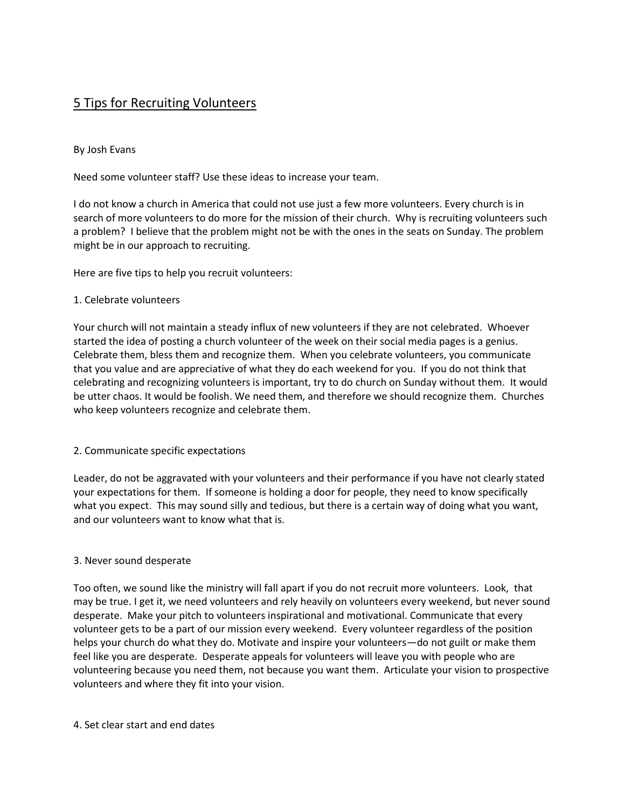# 5 Tips for Recruiting Volunteers

## By Josh Evans

Need some volunteer staff? Use these ideas to increase your team.

I do not know a church in America that could not use just a few more volunteers. Every church is in search of more volunteers to do more for the mission of their church. Why is recruiting volunteers such a problem? I believe that the problem might not be with the ones in the seats on Sunday. The problem might be in our approach to recruiting.

Here are five tips to help you recruit volunteers:

### 1. Celebrate volunteers

Your church will not maintain a steady influx of new volunteers if they are not celebrated. Whoever started the idea of posting a church volunteer of the week on their social media pages is a genius. Celebrate them, bless them and recognize them. When you celebrate volunteers, you communicate that you value and are appreciative of what they do each weekend for you. If you do not think that celebrating and recognizing volunteers is important, try to do church on Sunday without them. It would be utter chaos. It would be foolish. We need them, and therefore we should recognize them. Churches who keep volunteers recognize and celebrate them.

#### 2. Communicate specific expectations

Leader, do not be aggravated with your volunteers and their performance if you have not clearly stated your expectations for them. If someone is holding a door for people, they need to know specifically what you expect. This may sound silly and tedious, but there is a certain way of doing what you want, and our volunteers want to know what that is.

#### 3. Never sound desperate

Too often, we sound like the ministry will fall apart if you do not recruit more volunteers. Look, that may be true. I get it, we need volunteers and rely heavily on volunteers every weekend, but never sound desperate. Make your pitch to volunteers inspirational and motivational. Communicate that every volunteer gets to be a part of our mission every weekend. Every volunteer regardless of the position helps your church do what they do. Motivate and inspire your volunteers—do not guilt or make them feel like you are desperate. Desperate appeals for volunteers will leave you with people who are volunteering because you need them, not because you want them. Articulate your vision to prospective volunteers and where they fit into your vision.

#### 4. Set clear start and end dates